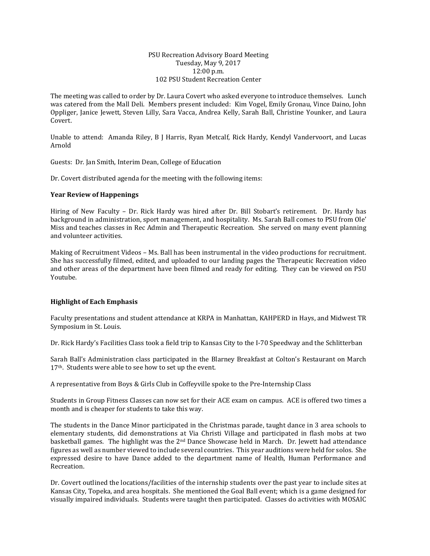#### PSU Recreation Advisory Board Meeting Tuesday, May 9, 2017 12:00 p.m. 102 PSU Student Recreation Center

The meeting was called to order by Dr. Laura Covert who asked everyone to introduce themselves. Lunch was catered from the Mall Deli. Members present included: Kim Vogel, Emily Gronau, Vince Daino, John Oppliger, Janice Jewett, Steven Lilly, Sara Vacca, Andrea Kelly, Sarah Ball, Christine Younker, and Laura Covert.

Unable to attend: Amanda Riley, B J Harris, Ryan Metcalf, Rick Hardy, Kendyl Vandervoort, and Lucas Arnold

Guests: Dr. Jan Smith, Interim Dean, College of Education

Dr. Covert distributed agenda for the meeting with the following items:

### **Year Review of Happenings**

Hiring of New Faculty – Dr. Rick Hardy was hired after Dr. Bill Stobart's retirement. Dr. Hardy has background in administration, sport management, and hospitality. Ms. Sarah Ball comes to PSU from Ole' Miss and teaches classes in Rec Admin and Therapeutic Recreation. She served on many event planning and volunteer activities.

Making of Recruitment Videos – Ms. Ball has been instrumental in the video productions for recruitment. She has successfully filmed, edited, and uploaded to our landing pages the Therapeutic Recreation video and other areas of the department have been filmed and ready for editing. They can be viewed on PSU Youtube.

# **Highlight of Each Emphasis**

Faculty presentations and student attendance at KRPA in Manhattan, KAHPERD in Hays, and Midwest TR Symposium in St. Louis.

Dr. Rick Hardy's Facilities Class took a field trip to Kansas City to the I-70 Speedway and the Schlitterban

Sarah Ball's Administration class participated in the Blarney Breakfast at Colton's Restaurant on March 17<sup>th</sup>. Students were able to see how to set up the event.

A representative from Boys & Girls Club in Coffeyville spoke to the Pre-Internship Class

Students in Group Fitness Classes can now set for their ACE exam on campus. ACE is offered two times a month and is cheaper for students to take this way.

The students in the Dance Minor participated in the Christmas parade, taught dance in 3 area schools to elementary students, did demonstrations at Via Christi Village and participated in flash mobs at two basketball games. The highlight was the 2nd Dance Showcase held in March. Dr. Jewett had attendance figures as well as number viewed to include several countries. This year auditions were held for solos. She expressed desire to have Dance added to the department name of Health, Human Performance and Recreation.

Dr. Covert outlined the locations/facilities of the internship students over the past year to include sites at Kansas City, Topeka, and area hospitals. She mentioned the Goal Ball event; which is a game designed for visually impaired individuals. Students were taught then participated. Classes do activities with MOSAIC